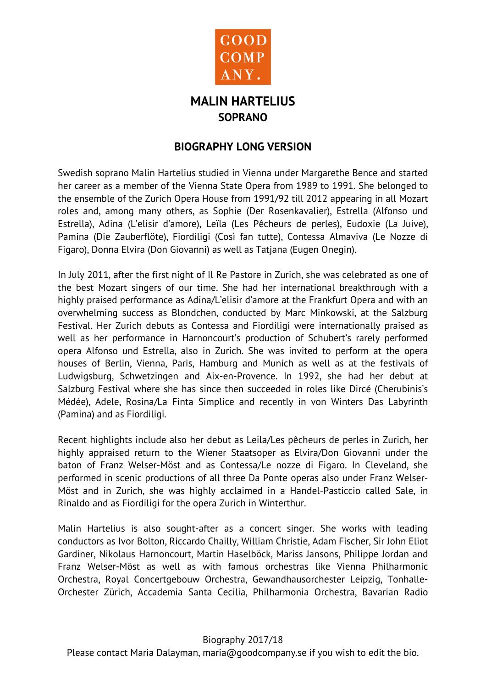

## **MALIN HARTELIUS SOPRANO**

## **BIOGRAPHY LONG VERSION**

Swedish soprano Malin Hartelius studied in Vienna under Margarethe Bence and started her career as a member of the Vienna State Opera from 1989 to 1991. She belonged to the ensemble of the Zurich Opera House from 1991/92 till 2012 appearing in all Mozart roles and, among many others, as Sophie (Der Rosenkavalier), Estrella (Alfonso und Estrella), Adina (L'elisir d'amore), Leïla (Les Pêcheurs de perles), Eudoxie (La Juive), Pamina (Die Zauberflöte), Fiordiligi (Così fan tutte), Contessa Almaviva (Le Nozze di Figaro), Donna Elvira (Don Giovanni) as well as Tatjana (Eugen Onegin).

In July 2011, after the first night of Il Re Pastore in Zurich, she was celebrated as one of the best Mozart singers of our time. She had her international breakthrough with a highly praised performance as Adina/L'elisir d'amore at the Frankfurt Opera and with an overwhelming success as Blondchen, conducted by Marc Minkowski, at the Salzburg Festival. Her Zurich debuts as Contessa and Fiordiligi were internationally praised as well as her performance in Harnoncourt's production of Schubert's rarely performed opera Alfonso und Estrella, also in Zurich. She was invited to perform at the opera houses of Berlin, Vienna, Paris, Hamburg and Munich as well as at the festivals of Ludwigsburg, Schwetzingen and Aix-en-Provence. In 1992, she had her debut at Salzburg Festival where she has since then succeeded in roles like Dircé (Cherubinis's Médée), Adele, Rosina/La Finta Simplice and recently in von Winters Das Labyrinth (Pamina) and as Fiordiligi.

Recent highlights include also her debut as Leila/Les pêcheurs de perles in Zurich, her highly appraised return to the Wiener Staatsoper as Elvira/Don Giovanni under the baton of Franz Welser-Möst and as Contessa/Le nozze di Figaro. In Cleveland, she performed in scenic productions of all three Da Ponte operas also under Franz Welser-Möst and in Zurich, she was highly acclaimed in a Handel-Pasticcio called Sale, in Rinaldo and as Fiordiligi for the opera Zurich in Winterthur.

Malin Hartelius is also sought-after as a concert singer. She works with leading conductors as Ivor Bolton, Riccardo Chailly, William Christie, Adam Fischer, Sir John Eliot Gardiner, Nikolaus Harnoncourt, Martin Haselböck, Mariss Jansons, Philippe Jordan and Franz Welser-Möst as well as with famous orchestras like Vienna Philharmonic Orchestra, Royal Concertgebouw Orchestra, Gewandhausorchester Leipzig, Tonhalle-Orchester Zürich, Accademia Santa Cecilia, Philharmonia Orchestra, Bavarian Radio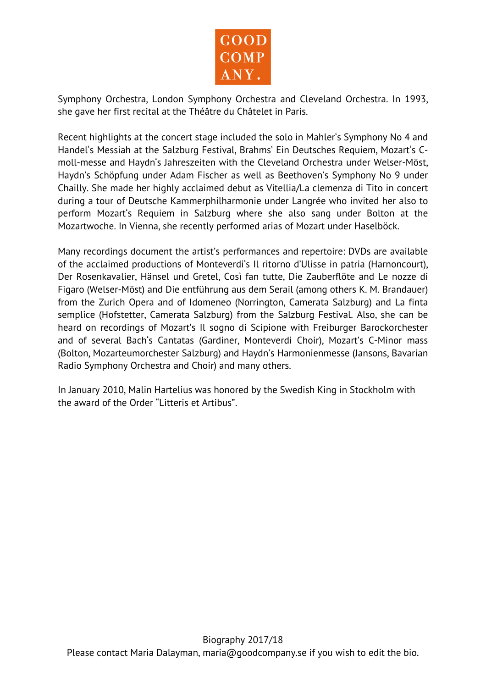

Symphony Orchestra, London Symphony Orchestra and Cleveland Orchestra. In 1993, she gave her first recital at the Théâtre du Châtelet in Paris.

Recent highlights at the concert stage included the solo in Mahler's Symphony No 4 and Handel's Messiah at the Salzburg Festival, Brahms' Ein Deutsches Requiem, Mozart's Cmoll-messe and Haydn's Jahreszeiten with the Cleveland Orchestra under Welser-Möst, Haydn's Schöpfung under Adam Fischer as well as Beethoven's Symphony No 9 under Chailly. She made her highly acclaimed debut as Vitellia/La clemenza di Tito in concert during a tour of Deutsche Kammerphilharmonie under Langrée who invited her also to perform Mozart's Requiem in Salzburg where she also sang under Bolton at the Mozartwoche. In Vienna, she recently performed arias of Mozart under Haselböck.

Many recordings document the artist's performances and repertoire: DVDs are available of the acclaimed productions of Monteverdi's Il ritorno d'Ulisse in patria (Harnoncourt), Der Rosenkavalier, Hänsel und Gretel, Così fan tutte, Die Zauberflöte and Le nozze di Figaro (Welser-Möst) and Die entführung aus dem Serail (among others K. M. Brandauer) from the Zurich Opera and of Idomeneo (Norrington, Camerata Salzburg) and La finta semplice (Hofstetter, Camerata Salzburg) from the Salzburg Festival. Also, she can be heard on recordings of Mozart's Il sogno di Scipione with Freiburger Barockorchester and of several Bach's Cantatas (Gardiner, Monteverdi Choir), Mozart's C-Minor mass (Bolton, Mozarteumorchester Salzburg) and Haydn's Harmonienmesse (Jansons, Bavarian Radio Symphony Orchestra and Choir) and many others.

In January 2010, Malin Hartelius was honored by the Swedish King in Stockholm with the award of the Order "Litteris et Artibus".